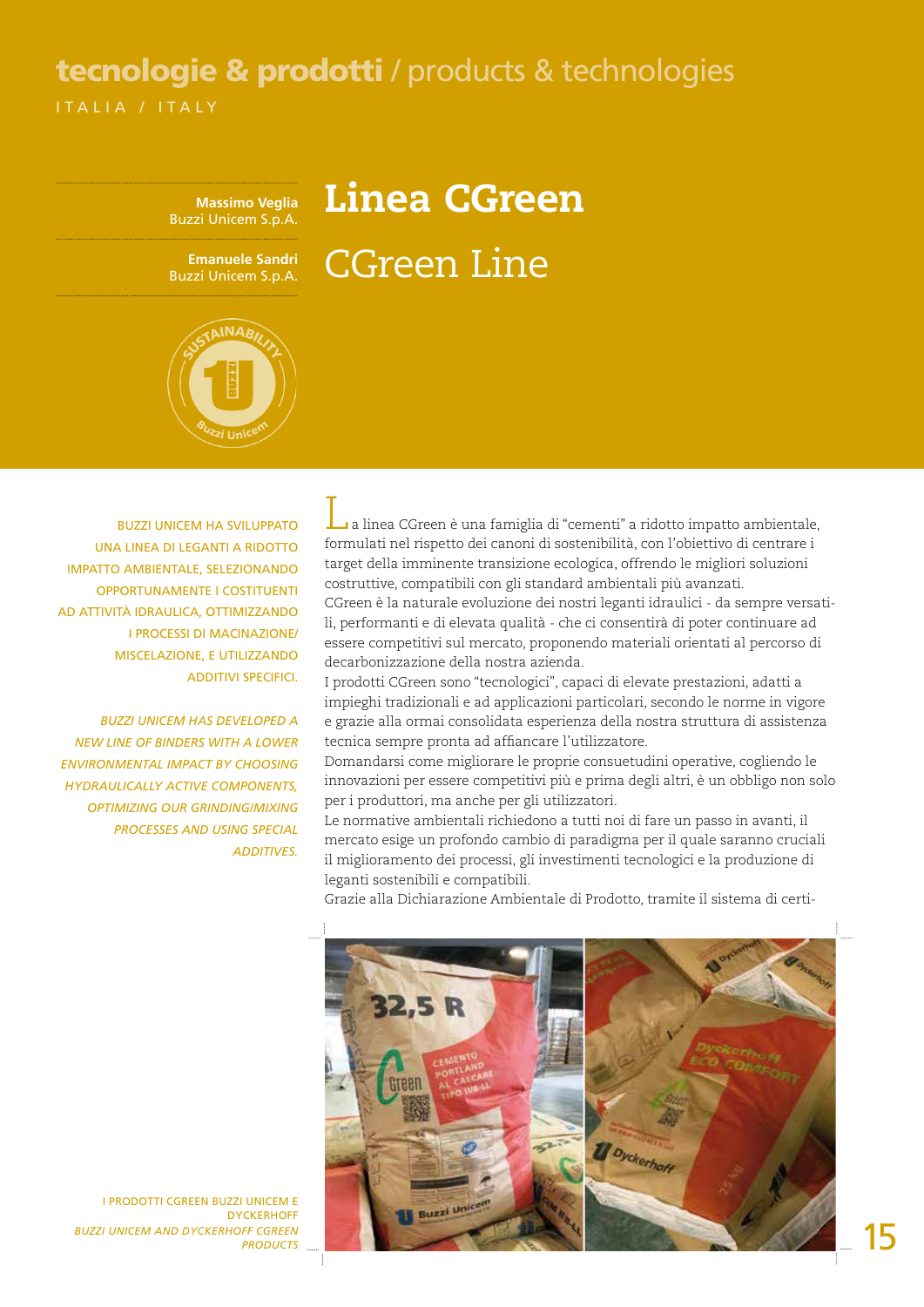## ITALIA / ITAL Y tecnologie & prodotti / products & technologies

## Linea CGreen CGreen Line

**Massimo Veglia** Buzzi Unicem S.p.A.

**Emanuele Sandri** Buzzi Unicem S.p.A.



Buzzi Unicem ha sviluppato una linea di leganti a ridotto impatto ambientale, selezionando opportunamente i costituenti ad attività idraulica, ottimizzando i processi di macinazione/ miscelazione, e utilizzando additivi specifici.

*Buzzi Unicem has developed a new line of binders with a lower environmental impact by choosing hydraulically active components, optimizing our grinding/mixing processes and using special additives.* 

La linea CGreen è una famiglia di "cementi" a ridotto impatto ambientale, formulati nel rispetto dei canoni di sostenibilità, con l'obiettivo di centrare i target della imminente transizione ecologica, offrendo le migliori soluzioni costruttive, compatibili con gli standard ambientali più avanzati. CGreen è la naturale evoluzione dei nostri leganti idraulici - da sempre versatili, performanti e di elevata qualità - che ci consentirà di poter continuare ad essere competitivi sul mercato, proponendo materiali orientati al percorso di

decarbonizzazione della nostra azienda. I prodotti CGreen sono "tecnologici", capaci di elevate prestazioni, adatti a impieghi tradizionali e ad applicazioni particolari, secondo le norme in vigore e grazie alla ormai consolidata esperienza della nostra struttura di assistenza tecnica sempre pronta ad affiancare l'utilizzatore.

Domandarsi come migliorare le proprie consuetudini operative, cogliendo le innovazioni per essere competitivi più e prima degli altri, è un obbligo non solo per i produttori, ma anche per gli utilizzatori.

Le normative ambientali richiedono a tutti noi di fare un passo in avanti, il mercato esige un profondo cambio di paradigma per il quale saranno cruciali il miglioramento dei processi, gli investimenti tecnologici e la produzione di leganti sostenibili e compatibili.



Grazie alla Dichiarazione Ambientale di Prodotto, tramite il sistema di certi-

I PRODOTTI CGREEN BUZZI UNICEM E DYCKERHOFF *BUZZI UNICEM AND DYCKERHOFF CGREEN PRODUCTS*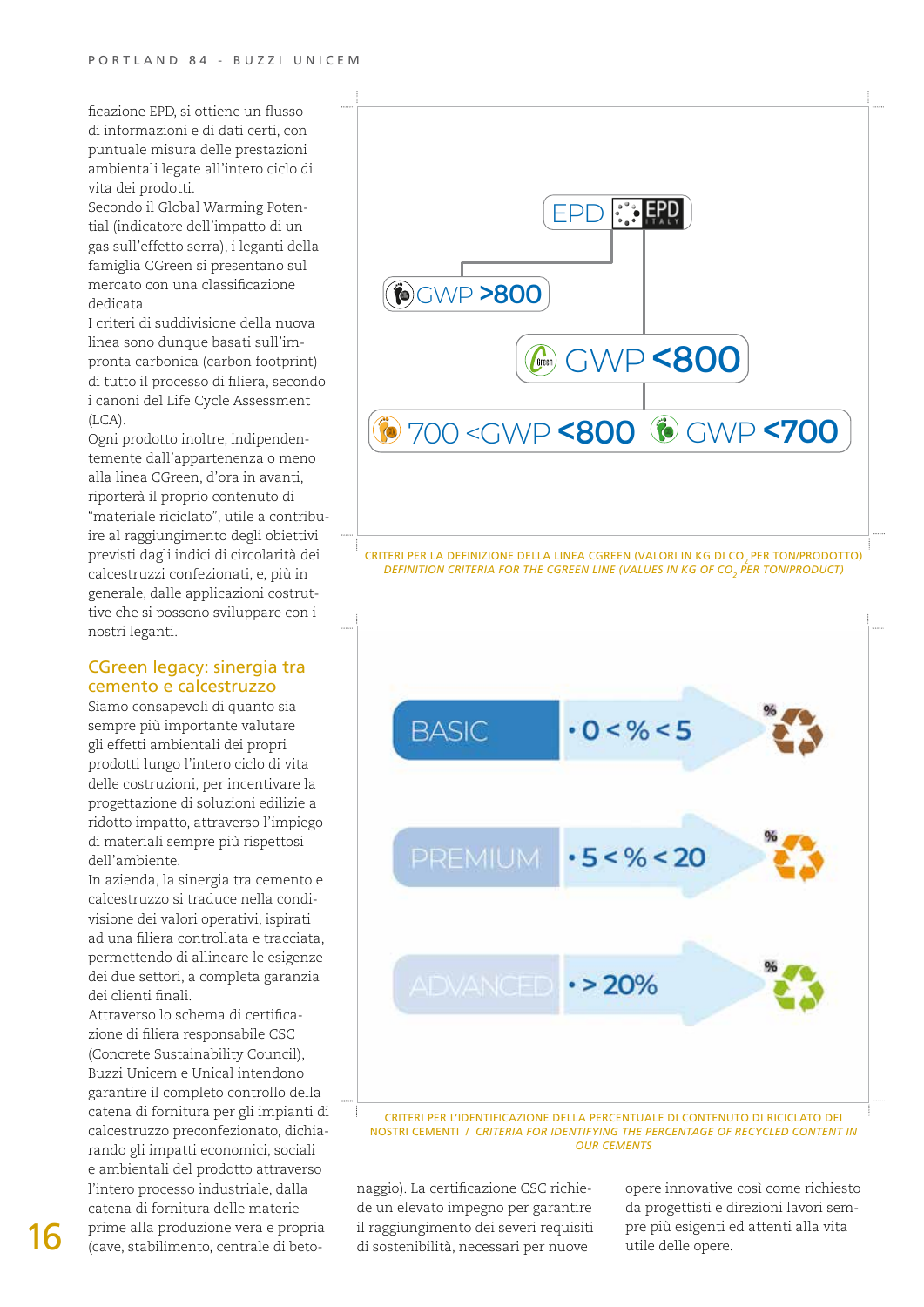ficazione EPD, si ottiene un flusso di informazioni e di dati certi, con puntuale misura delle prestazioni ambientali legate all'intero ciclo di vita dei prodotti.

Secondo il Global Warming Potential (indicatore dell'impatto di un gas sull'effetto serra), i leganti della famiglia CGreen si presentano sul mercato con una classificazione dedicata.

I criteri di suddivisione della nuova linea sono dunque basati sull'impronta carbonica (carbon footprint) di tutto il processo di filiera, secondo i canoni del Life Cycle Assessment (LCA).

Ogni prodotto inoltre, indipendentemente dall'appartenenza o meno alla linea CGreen, d'ora in avanti, riporterà il proprio contenuto di "materiale riciclato", utile a contribuire al raggiungimento degli obiettivi previsti dagli indici di circolarità dei calcestruzzi confezionati, e, più in generale, dalle applicazioni costruttive che si possono sviluppare con i nostri leganti.

## CGreen legacy: sinergia tra cemento e calcestruzzo

Siamo consapevoli di quanto sia sempre più importante valutare gli effetti ambientali dei propri prodotti lungo l'intero ciclo di vita delle costruzioni, per incentivare la progettazione di soluzioni edilizie a ridotto impatto, attraverso l'impiego di materiali sempre più rispettosi dell'ambiente.

In azienda, la sinergia tra cemento e calcestruzzo si traduce nella condivisione dei valori operativi, ispirati ad una filiera controllata e tracciata, permettendo di allineare le esigenze dei due settori, a completa garanzia dei clienti finali.

Attraverso lo schema di certificazione di filiera responsabile CSC (Concrete Sustainability Council), Buzzi Unicem e Unical intendono garantire il completo controllo della catena di fornitura per gli impianti di calcestruzzo preconfezionato, dichiarando gli impatti economici, sociali e ambientali del prodotto attraverso l'intero processo industriale, dalla catena di fornitura delle materie prime alla produzione vera e propria (cave, stabilimento, centrale di beto-16 prime alla produzione vera e propria il raggiungimento dei severi requisiti pre più esigenti ed attenti alla vita<br>(cave, stabilimento, centrale di beto- di sostenibilità, necessari per nuove utile delle opere.



CRITERI PER LA DEFINIZIONE DELLA LINEA CGREEN (VALORI IN KG DI CO<sub>2</sub> PER TON/PRODOTTO) *DEFINITION CRITERIA FOR THE CGREEN LINE (VALUES IN KG OF CO2 PER TON/PRODUCT)*



Criteri per l'identificazione della percentuale di contenuto di riciclato dei nostri cementi / *Criteria for identifying the percentage of recycled content in our cements*

naggio). La certificazione CSC richiede un elevato impegno per garantire il raggiungimento dei severi requisiti opere innovative così come richiesto da progettisti e direzioni lavori sem-